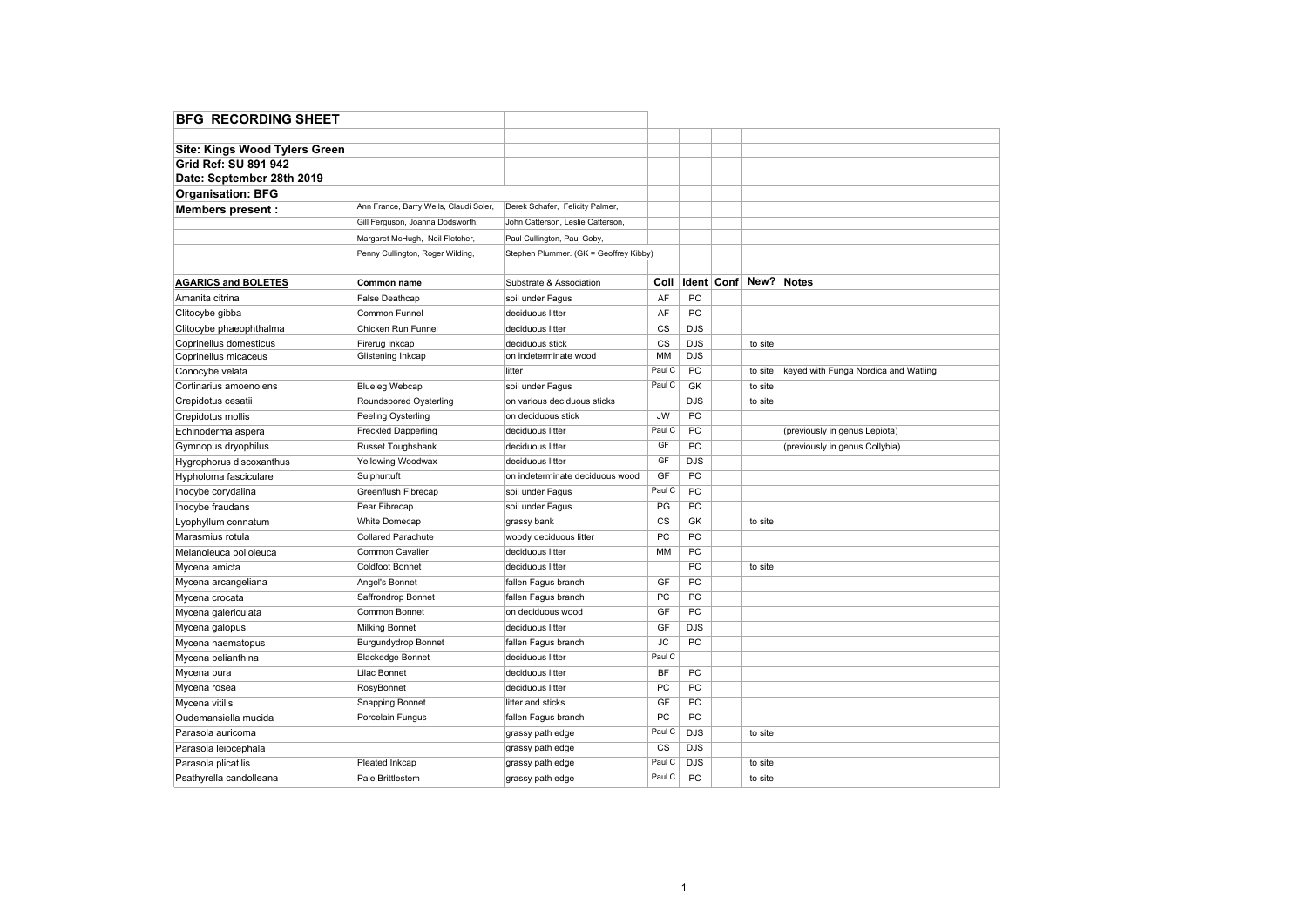| <b>Site: Kings Wood Tylers Green</b> |                                        |                                        |           |            |                       |                                      |
|--------------------------------------|----------------------------------------|----------------------------------------|-----------|------------|-----------------------|--------------------------------------|
| Grid Ref: SU 891 942                 |                                        |                                        |           |            |                       |                                      |
| Date: September 28th 2019            |                                        |                                        |           |            |                       |                                      |
| <b>Organisation: BFG</b>             |                                        |                                        |           |            |                       |                                      |
| <b>Members present:</b>              | Ann France, Barry Wells, Claudi Soler, | Derek Schafer, Felicity Palmer,        |           |            |                       |                                      |
|                                      | Gill Ferguson, Joanna Dodsworth,       | John Catterson, Leslie Catterson,      |           |            |                       |                                      |
|                                      | Margaret McHugh, Neil Fletcher,        | Paul Cullington, Paul Goby,            |           |            |                       |                                      |
|                                      | Penny Cullington, Roger Wilding,       | Stephen Plummer. (GK = Geoffrey Kibby) |           |            |                       |                                      |
|                                      |                                        |                                        |           |            |                       |                                      |
| <b>AGARICS and BOLETES</b>           | Common name                            | Substrate & Association                | Coll      |            | Ident Conf New? Notes |                                      |
| Amanita citrina                      | False Deathcap                         | soil under Fagus                       | AF        | <b>PC</b>  |                       |                                      |
| Clitocybe gibba                      | Common Funnel                          | deciduous litter                       | AF        | PC         |                       |                                      |
| Clitocybe phaeophthalma              | Chicken Run Funnel                     | deciduous litter                       | CS        | <b>DJS</b> |                       |                                      |
| Coprinellus domesticus               | Firerug Inkcap                         | deciduous stick                        | CS        | <b>DJS</b> | to site               |                                      |
| Coprinellus micaceus                 | Glistening Inkcap                      | on indeterminate wood                  | MM        | <b>DJS</b> |                       |                                      |
| Conocybe velata                      |                                        | litter                                 | Paul C    | PC         | to site               | keyed with Funga Nordica and Watling |
| Cortinarius amoenolens               | <b>Blueleg Webcap</b>                  | soil under Fagus                       | Paul C    | GK         | to site               |                                      |
| Crepidotus cesatii                   | Roundspored Oysterling                 | on various deciduous sticks            |           | <b>DJS</b> | to site               |                                      |
| Crepidotus mollis                    | Peeling Oysterling                     | on deciduous stick                     | <b>JW</b> | PC         |                       |                                      |
| Echinoderma aspera                   | <b>Freckled Dapperling</b>             | deciduous litter                       | Paul C    | PC         |                       | (previously in genus Lepiota)        |
| Gymnopus dryophilus                  | Russet Toughshank                      | deciduous litter                       | GF        | PC         |                       | (previously in genus Collybia)       |
| Hygrophorus discoxanthus             | Yellowing Woodwax                      | deciduous litter                       | GF        | <b>DJS</b> |                       |                                      |
| Hypholoma fasciculare                | Sulphurtuft                            | on indeterminate deciduous wood        | GF        | PC         |                       |                                      |
| Inocybe corydalina                   | Greenflush Fibrecap                    | soil under Fagus                       | Paul C    | PC         |                       |                                      |
| Inocybe fraudans                     | Pear Fibrecap                          | soil under Fagus                       | PG        | PC         |                       |                                      |
| Lyophyllum connatum                  | <b>White Domecap</b>                   | grassy bank                            | CS        | GK         | to site               |                                      |
| Marasmius rotula                     | <b>Collared Parachute</b>              | woody deciduous litter                 | PC        | PC         |                       |                                      |
| Melanoleuca polioleuca               | Common Cavalier                        | deciduous litter                       | MM        | PC         |                       |                                      |
| Mycena amicta                        | <b>Coldfoot Bonnet</b>                 | deciduous litter                       |           | PC         | to site               |                                      |
| Mycena arcangeliana                  | Angel's Bonnet                         | fallen Fagus branch                    | GF        | PC         |                       |                                      |
| Mycena crocata                       | Saffrondrop Bonnet                     | fallen Fagus branch                    | PC        | PC         |                       |                                      |
| Mycena galericulata                  | Common Bonnet                          | on deciduous wood                      | GF        | PC         |                       |                                      |
| Mycena galopus                       | <b>Milking Bonnet</b>                  | deciduous litter                       | GF        | DJS        |                       |                                      |
| Mycena haematopus                    | Burgundydrop Bonnet                    | fallen Fagus branch                    | <b>JC</b> | PC         |                       |                                      |
| Mycena pelianthina                   | <b>Blackedge Bonnet</b>                | deciduous litter                       | Paul C    |            |                       |                                      |
| Mycena pura                          | Lilac Bonnet                           | deciduous litter                       | <b>BF</b> | PC         |                       |                                      |
| Mycena rosea                         | RosyBonnet                             | deciduous litter                       | PC        | PC         |                       |                                      |
| Mycena vitilis                       | Snapping Bonnet                        | litter and sticks                      | GF        | PC         |                       |                                      |
| Oudemansiella mucida                 | Porcelain Fungus                       | fallen Fagus branch                    | PC        | PC         |                       |                                      |
| Parasola auricoma                    |                                        | grassy path edge                       | Paul C    | <b>DJS</b> | to site               |                                      |
| Parasola leiocephala                 |                                        | grassy path edge                       | CS        | <b>DJS</b> |                       |                                      |
| Parasola plicatilis                  | Pleated Inkcap                         | grassy path edge                       | Paul C    | <b>DJS</b> | to site               |                                      |
| Psathyrella candolleana              | Pale Brittlestem                       | grassy path edge                       | Paul C    | PC         | to site               |                                      |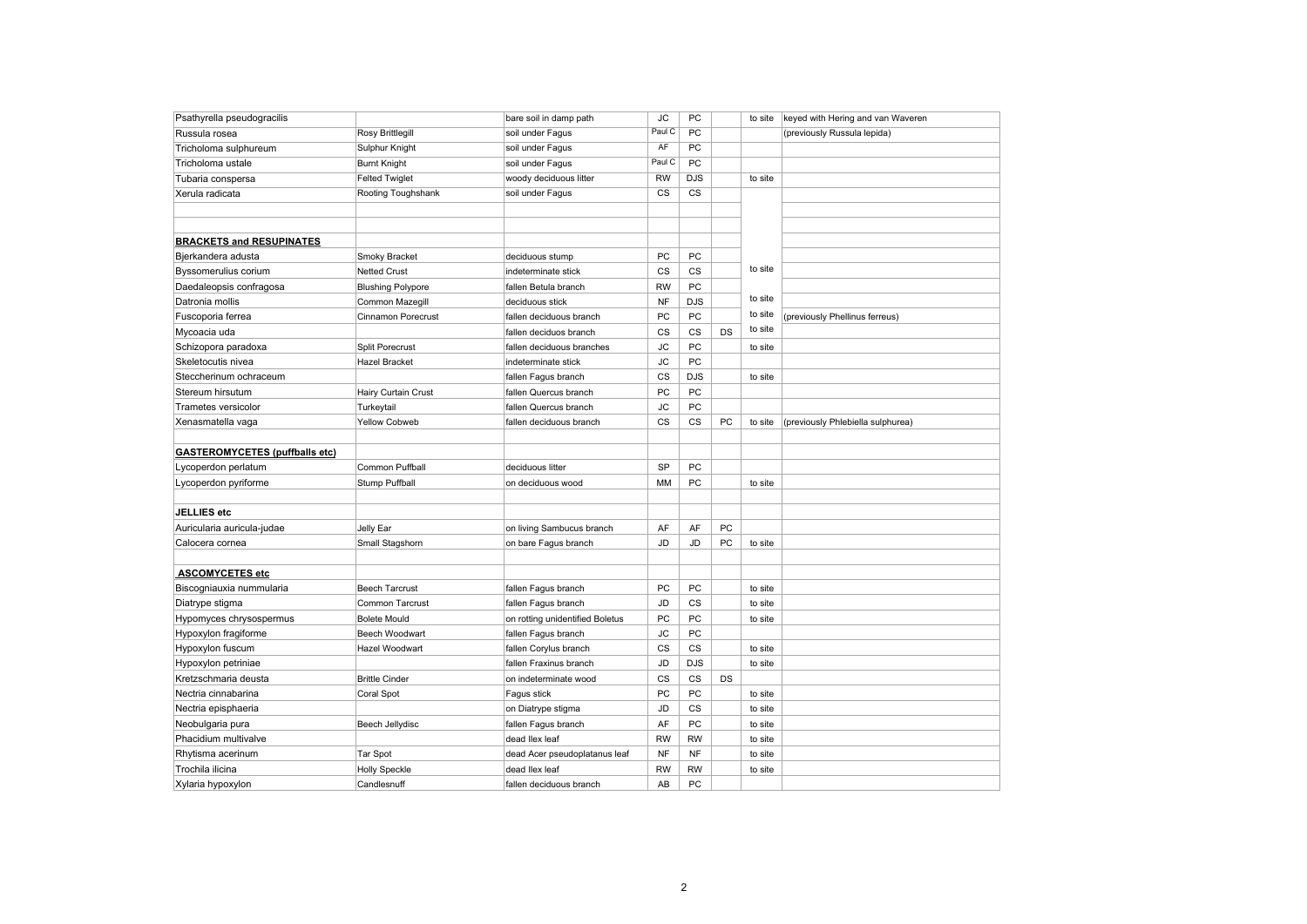| Psathyrella pseudogracilis            | bare soil in damp path   |                                 | J <sub>C</sub> | PC            |           | to site | keyed with Hering and van Waveren |
|---------------------------------------|--------------------------|---------------------------------|----------------|---------------|-----------|---------|-----------------------------------|
| Russula rosea                         | Rosy Brittlegill         | soil under Fagus                | Paul C         | PC            |           |         | (previously Russula lepida)       |
| Tricholoma sulphureum                 | Sulphur Knight           | soil under Fagus                | AF             | PC            |           |         |                                   |
| Tricholoma ustale                     | <b>Burnt Knight</b>      | soil under Fagus                | Paul C         | PC            |           |         |                                   |
| Tubaria conspersa                     | <b>Felted Twiglet</b>    | woody deciduous litter          | RW             | <b>DJS</b>    |           | to site |                                   |
| Xerula radicata                       | Rooting Toughshank       | soil under Fagus                | CS             | <b>CS</b>     |           |         |                                   |
|                                       |                          |                                 |                |               |           |         |                                   |
|                                       |                          |                                 |                |               |           |         |                                   |
| <b>BRACKETS and RESUPINATES</b>       |                          |                                 |                |               |           |         |                                   |
| Bjerkandera adusta                    | Smoky Bracket            | deciduous stump                 | PC             | PC            |           |         |                                   |
| Byssomerulius corium                  | <b>Netted Crust</b>      | indeterminate stick             | CS             | CS            |           | to site |                                   |
| Daedaleopsis confragosa               | <b>Blushing Polypore</b> | fallen Betula branch            | <b>RW</b>      | PC            |           |         |                                   |
| Datronia mollis                       | Common Mazegill          | deciduous stick                 | <b>NF</b>      | <b>DJS</b>    |           | to site |                                   |
| Fuscoporia ferrea                     | Cinnamon Porecrust       | fallen deciduous branch         | PC             | PC            |           | to site | (previously Phellinus ferreus)    |
| Mycoacia uda                          |                          | fallen deciduos branch          | CS             | $\mathsf{cs}$ | DS        | to site |                                   |
| Schizopora paradoxa                   | <b>Split Porecrust</b>   | fallen deciduous branches       | JС             | PC            |           | to site |                                   |
| Skeletocutis nivea                    | Hazel Bracket            | indeterminate stick             | <b>JC</b>      | PC            |           |         |                                   |
| Steccherinum ochraceum                |                          | fallen Fagus branch             | CS             | <b>DJS</b>    |           | to site |                                   |
| Stereum hirsutum                      | Hairy Curtain Crust      | fallen Quercus branch           | PC             | PC            |           |         |                                   |
| <b>Trametes versicolor</b>            | Turkeytail               | fallen Quercus branch           | JС             | PC            |           |         |                                   |
| Xenasmatella vaga                     | <b>Yellow Cobweb</b>     | fallen deciduous branch         | CS             | <b>CS</b>     | PC        | to site | (previously Phlebiella sulphurea) |
|                                       |                          |                                 |                |               |           |         |                                   |
| <b>GASTEROMYCETES (puffballs etc)</b> |                          |                                 |                |               |           |         |                                   |
| Lycoperdon perlatum                   | Common Puffball          | deciduous litter                | SP             | PC            |           |         |                                   |
| Lycoperdon pyriforme                  | <b>Stump Puffball</b>    | on deciduous wood               | MM             | PC            |           | to site |                                   |
|                                       |                          |                                 |                |               |           |         |                                   |
| JELLIES etc                           |                          |                                 |                |               |           |         |                                   |
| Auricularia auricula-judae            | Jelly Ear                | on living Sambucus branch       | AF             | AF            | <b>PC</b> |         |                                   |
| Calocera cornea                       | Small Stagshorn          | on bare Fagus branch            | JD             | JD            | PC        | to site |                                   |
|                                       |                          |                                 |                |               |           |         |                                   |
| <b>ASCOMYCETES etc</b>                |                          |                                 |                |               |           |         |                                   |
| Biscogniauxia nummularia              | <b>Beech Tarcrust</b>    | fallen Fagus branch             | PC             | PC            |           | to site |                                   |
| Diatrype stigma                       | Common Tarcrust          | fallen Fagus branch             | JD             | CS            |           | to site |                                   |
| Hypomyces chrysospermus               | <b>Bolete Mould</b>      | on rotting unidentified Boletus | PC             | PC            |           | to site |                                   |
| Hypoxylon fragiforme                  | Beech Woodwart           | fallen Fagus branch             | JС             | PC            |           |         |                                   |
| Hypoxylon fuscum                      | Hazel Woodwart           | fallen Corylus branch           | CS             | $\mathsf{cs}$ |           | to site |                                   |
| Hypoxylon petriniae                   |                          | fallen Fraxinus branch          | JD             | <b>DJS</b>    |           | to site |                                   |
| Kretzschmaria deusta                  | <b>Brittle Cinder</b>    | on indeterminate wood           | CS             | $\mathsf{cs}$ | DS        |         |                                   |
| Nectria cinnabarina                   | Coral Spot               | Fagus stick                     | PC             | PC            |           | to site |                                   |
| Nectria episphaeria                   |                          | on Diatrype stigma              | JD             | $\mathsf{cs}$ |           | to site |                                   |
| Neobulgaria pura                      | Beech Jellydisc          | fallen Fagus branch             | AF             | PC            |           | to site |                                   |
| Phacidium multivalve                  |                          | dead llex leaf                  | <b>RW</b>      | <b>RW</b>     |           | to site |                                   |
| Rhytisma acerinum                     | Tar Spot                 | dead Acer pseudoplatanus leaf   | NF             | <b>NF</b>     |           | to site |                                   |
| Trochila ilicina                      | <b>Holly Speckle</b>     | dead llex leaf                  | <b>RW</b>      | <b>RW</b>     |           | to site |                                   |
| Xylaria hypoxylon                     | Candlesnuff              | fallen deciduous branch         | AB             | PC            |           |         |                                   |